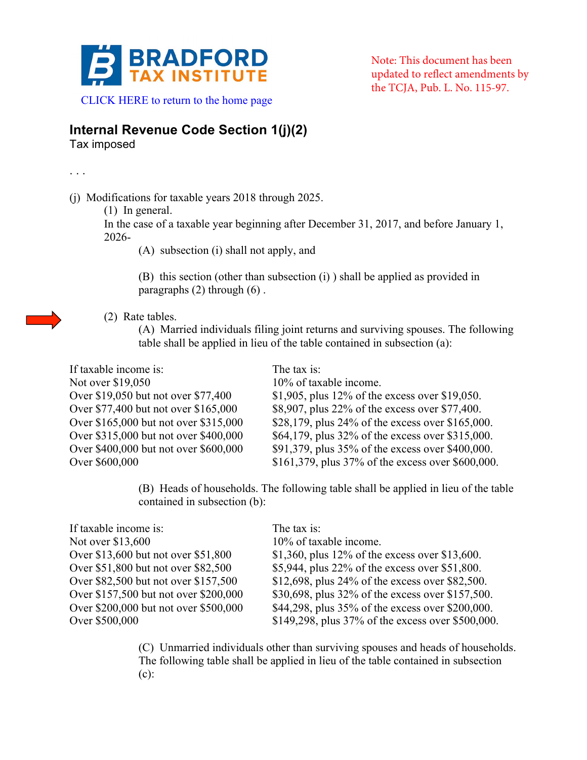

Note: This document has been updated to reflect amendments by the TCJA, Pub. L. No. 115-97.

 [CLICK HERE to return to the home page](www.bradfordtaxinstitute.com) 

## **Internal Revenue Code Section 1(j)(2)**

Tax imposed

. . .

(j) Modifications for taxable years 2018 through 2025.

(1) In general.

In the case of a taxable year beginning after December 31, 2017, and before January 1, 2026-

(A) subsection (i) shall not apply, and

(B) this section (other than subsection (i) ) shall be applied as provided in paragraphs (2) through (6) .



(A) Married individuals filing joint returns and surviving spouses. The following table shall be applied in lieu of the table contained in subsection (a):

| If taxable income is:                 | The tax is:                                       |
|---------------------------------------|---------------------------------------------------|
| Not over \$19,050                     | 10% of taxable income.                            |
| Over \$19,050 but not over \$77,400   | \$1,905, plus $12\%$ of the excess over \$19,050. |
| Over \$77,400 but not over \$165,000  | \$8,907, plus 22% of the excess over \$77,400.    |
| Over \$165,000 but not over \$315,000 | \$28,179, plus 24% of the excess over \$165,000.  |
| Over \$315,000 but not over \$400,000 | \$64,179, plus 32% of the excess over \$315,000.  |
| Over \$400,000 but not over \$600,000 | \$91,379, plus 35% of the excess over \$400,000.  |
| Over \$600,000                        | \$161,379, plus 37% of the excess over \$600,000. |

(B) Heads of households. The following table shall be applied in lieu of the table contained in subsection (b):

| The tax is:                                       |
|---------------------------------------------------|
| 10% of taxable income.                            |
| \$1,360, plus 12% of the excess over \$13,600.    |
| \$5,944, plus 22% of the excess over \$51,800.    |
| \$12,698, plus 24% of the excess over \$82,500.   |
| \$30,698, plus 32% of the excess over \$157,500.  |
| \$44,298, plus 35% of the excess over \$200,000.  |
| \$149,298, plus 37% of the excess over \$500,000. |
|                                                   |

(C) Unmarried individuals other than surviving spouses and heads of households. The following table shall be applied in lieu of the table contained in subsection (c):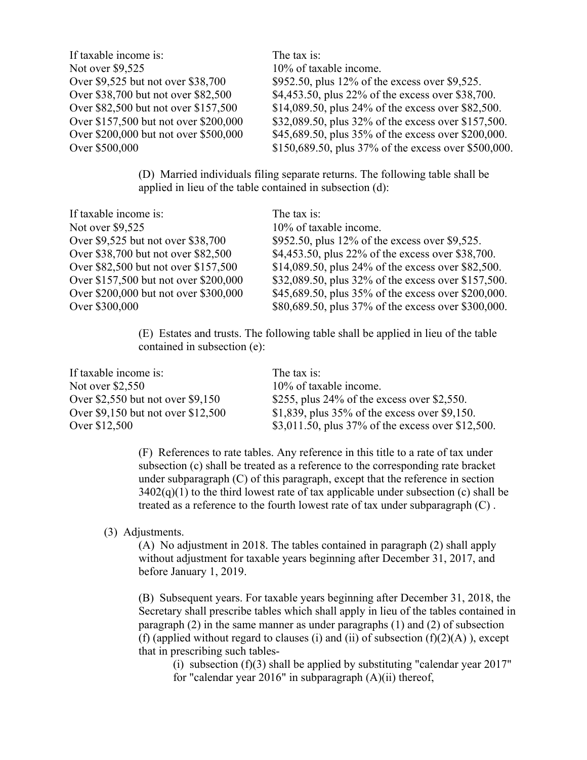| If taxable income is:                 | The tax is:                                          |
|---------------------------------------|------------------------------------------------------|
| Not over \$9,525                      | 10% of taxable income.                               |
| Over \$9,525 but not over \$38,700    | \$952.50, plus 12% of the excess over \$9,525.       |
| Over \$38,700 but not over \$82,500   | \$4,453.50, plus 22% of the excess over \$38,700.    |
| Over \$82,500 but not over \$157,500  | \$14,089.50, plus 24% of the excess over \$82,500.   |
| Over \$157,500 but not over \$200,000 | \$32,089.50, plus 32% of the excess over \$157,500.  |
| Over \$200,000 but not over \$500,000 | \$45,689.50, plus 35% of the excess over \$200,000.  |
| Over \$500,000                        | \$150,689.50, plus 37% of the excess over \$500,000. |
|                                       |                                                      |

(D) Married individuals filing separate returns. The following table shall be applied in lieu of the table contained in subsection (d):

| If taxable income is:                 | The tax is:                                         |
|---------------------------------------|-----------------------------------------------------|
| Not over \$9,525                      | 10% of taxable income.                              |
| Over \$9,525 but not over \$38,700    | \$952.50, plus 12% of the excess over \$9,525.      |
| Over \$38,700 but not over \$82,500   | \$4,453.50, plus 22% of the excess over \$38,700.   |
| Over \$82,500 but not over \$157,500  | \$14,089.50, plus 24% of the excess over \$82,500.  |
| Over \$157,500 but not over \$200,000 | \$32,089.50, plus 32% of the excess over \$157,500. |
| Over \$200,000 but not over \$300,000 | \$45,689.50, plus 35% of the excess over \$200,000. |
| Over \$300,000                        | \$80,689.50, plus 37% of the excess over \$300,000. |

(E) Estates and trusts. The following table shall be applied in lieu of the table contained in subsection (e):

| If taxable income is:               | The tax is:                                       |
|-------------------------------------|---------------------------------------------------|
| Not over \$2,550                    | 10% of taxable income.                            |
| Over $$2,550$ but not over $$9,150$ | \$255, plus $24\%$ of the excess over \$2,550.    |
| Over \$9,150 but not over \$12,500  | \$1,839, plus $35\%$ of the excess over \$9,150.  |
| Over \$12,500                       | \$3,011.50, plus 37% of the excess over \$12,500. |

(F) References to rate tables. Any reference in this title to a rate of tax under subsection (c) shall be treated as a reference to the corresponding rate bracket under subparagraph (C) of this paragraph, except that the reference in section  $3402(q)(1)$  to the third lowest rate of tax applicable under subsection (c) shall be treated as a reference to the fourth lowest rate of tax under subparagraph (C) .

## (3) Adjustments.

(A) No adjustment in 2018. The tables contained in paragraph (2) shall apply without adjustment for taxable years beginning after December 31, 2017, and before January 1, 2019.

(B) Subsequent years. For taxable years beginning after December 31, 2018, the Secretary shall prescribe tables which shall apply in lieu of the tables contained in paragraph (2) in the same manner as under paragraphs (1) and (2) of subsection (f) (applied without regard to clauses (i) and (ii) of subsection  $(f)(2)(A)$ ), except that in prescribing such tables-

(i) subsection  $(f)(3)$  shall be applied by substituting "calendar year 2017" for "calendar year 2016" in subparagraph (A)(ii) thereof,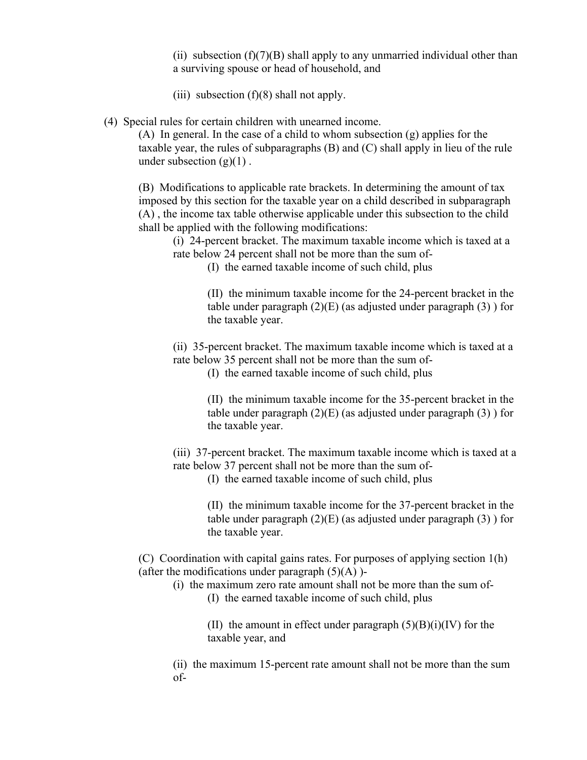(ii) subsection  $(f)(7)(B)$  shall apply to any unmarried individual other than a surviving spouse or head of household, and

- (iii) subsection  $(f)(8)$  shall not apply.
- (4) Special rules for certain children with unearned income.

(A) In general. In the case of a child to whom subsection (g) applies for the taxable year, the rules of subparagraphs (B) and (C) shall apply in lieu of the rule under subsection  $(g)(1)$ .

(B) Modifications to applicable rate brackets. In determining the amount of tax imposed by this section for the taxable year on a child described in subparagraph (A) , the income tax table otherwise applicable under this subsection to the child shall be applied with the following modifications:

(i) 24-percent bracket. The maximum taxable income which is taxed at a rate below 24 percent shall not be more than the sum of-

(I) the earned taxable income of such child, plus

(II) the minimum taxable income for the 24-percent bracket in the table under paragraph  $(2)(E)$  (as adjusted under paragraph  $(3)$ ) for the taxable year.

(ii) 35-percent bracket. The maximum taxable income which is taxed at a rate below 35 percent shall not be more than the sum of-

(I) the earned taxable income of such child, plus

(II) the minimum taxable income for the 35-percent bracket in the table under paragraph  $(2)(E)$  (as adjusted under paragraph  $(3)$ ) for the taxable year.

(iii) 37-percent bracket. The maximum taxable income which is taxed at a rate below 37 percent shall not be more than the sum of-

(I) the earned taxable income of such child, plus

(II) the minimum taxable income for the 37-percent bracket in the table under paragraph  $(2)(E)$  (as adjusted under paragraph  $(3)$ ) for the taxable year.

(C) Coordination with capital gains rates. For purposes of applying section 1(h) (after the modifications under paragraph  $(5)(A)$ )-

(i) the maximum zero rate amount shall not be more than the sum of- (I) the earned taxable income of such child, plus

> (II) the amount in effect under paragraph  $(5)(B)(i)(IV)$  for the taxable year, and

(ii) the maximum 15-percent rate amount shall not be more than the sum of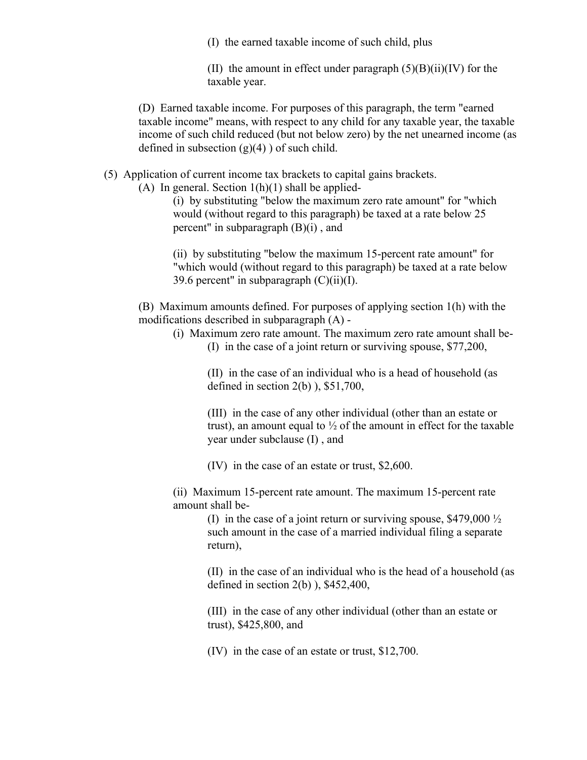(I) the earned taxable income of such child, plus

(II) the amount in effect under paragraph  $(5)(B)(ii)(IV)$  for the taxable year.

(D) Earned taxable income. For purposes of this paragraph, the term "earned taxable income" means, with respect to any child for any taxable year, the taxable income of such child reduced (but not below zero) by the net unearned income (as defined in subsection  $(g)(4)$ ) of such child.

(5) Application of current income tax brackets to capital gains brackets.

(A) In general. Section  $1(h)(1)$  shall be applied-

(i) by substituting "below the maximum zero rate amount" for "which would (without regard to this paragraph) be taxed at a rate below 25 percent" in subparagraph  $(B)(i)$ , and

(ii) by substituting "below the maximum 15-percent rate amount" for "which would (without regard to this paragraph) be taxed at a rate below 39.6 percent" in subparagraph  $(C)(ii)(I)$ .

(B) Maximum amounts defined. For purposes of applying section 1(h) with the modifications described in subparagraph (A) -

- (i) Maximum zero rate amount. The maximum zero rate amount shall be-
	- (I) in the case of a joint return or surviving spouse, \$77,200,

(II) in the case of an individual who is a head of household (as defined in section  $2(b)$ ),  $$51,700$ ,

(III) in the case of any other individual (other than an estate or trust), an amount equal to  $\frac{1}{2}$  of the amount in effect for the taxable year under subclause (I) , and

(IV) in the case of an estate or trust, \$2,600.

(ii) Maximum 15-percent rate amount. The maximum 15-percent rate amount shall be-

> (I) in the case of a joint return or surviving spouse,  $$479,000\frac{1}{2}$ such amount in the case of a married individual filing a separate return),

(II) in the case of an individual who is the head of a household (as defined in section 2(b) ), \$452,400,

(III) in the case of any other individual (other than an estate or trust), \$425,800, and

(IV) in the case of an estate or trust, \$12,700.